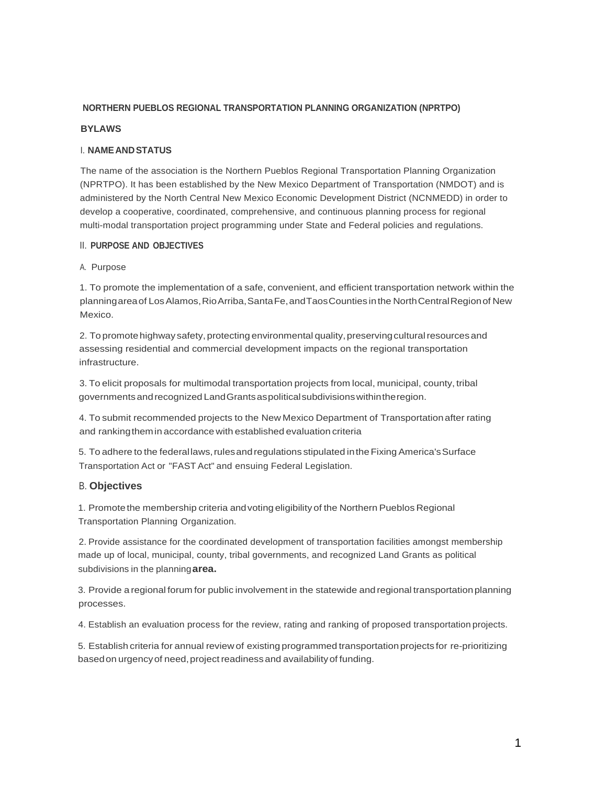# **NORTHERN PUEBLOS REGIONAL TRANSPORTATION PLANNING ORGANIZATION (NPRTPO)**

## **BYLAWS**

# I. **NAMEANDSTATUS**

The name of the association is the Northern Pueblos Regional Transportation Planning Organization (NPRTPO). It has been established by the New Mexico Department of Transportation (NMDOT) and is administered by the North Central New Mexico Economic Development District (NCNMEDD) in order to develop a cooperative, coordinated, comprehensive, and continuous planning process for regional multi-modal transportation project programming under State and Federal policies and regulations.

## II. **PURPOSE AND OBJECTIVES**

# A. Purpose

1. To promote the implementation of a safe, convenient, and efficient transportation network within the planningarea of Los Alamos, Rio Arriba, Santa Fe, and Taos Counties in the North Central Region of New Mexico.

2. To promote highway safety, protecting environmental quality, preserving cultural resources and assessing residential and commercial development impacts on the regional transportation infrastructure.

3. To elicit proposals for multimodal transportation projects from local, municipal, county, tribal governmentsandrecognized LandGrantsaspoliticalsubdivisionswithintheregion.

4. To submit recommended projects to the New Mexico Department of Transportationafter rating and ranking them in accordance with established evaluation criteria

5. To adhere to the federallaws,rulesand regulations stipulated intheFixingAmerica'sSurface Transportation Act or "FAST Act" and ensuing Federal Legislation.

# B. **Objectives**

1. Promotethe membership criteria andvoting eligibility of the Northern Pueblos Regional Transportation Planning Organization.

2. Provide assistance for the coordinated development of transportation facilities amongst membership made up of local, municipal, county, tribal governments, and recognized Land Grants as political subdivisions in the planning**area.**

3. Provide a regional forum for public involvement in the statewide and regional transportationplanning processes.

4. Establish an evaluation process for the review, rating and ranking of proposed transportation projects.

5. Establish criteria for annual review of existing programmed transportationprojects for re-prioritizing based on urgency of need, project readiness and availability of funding.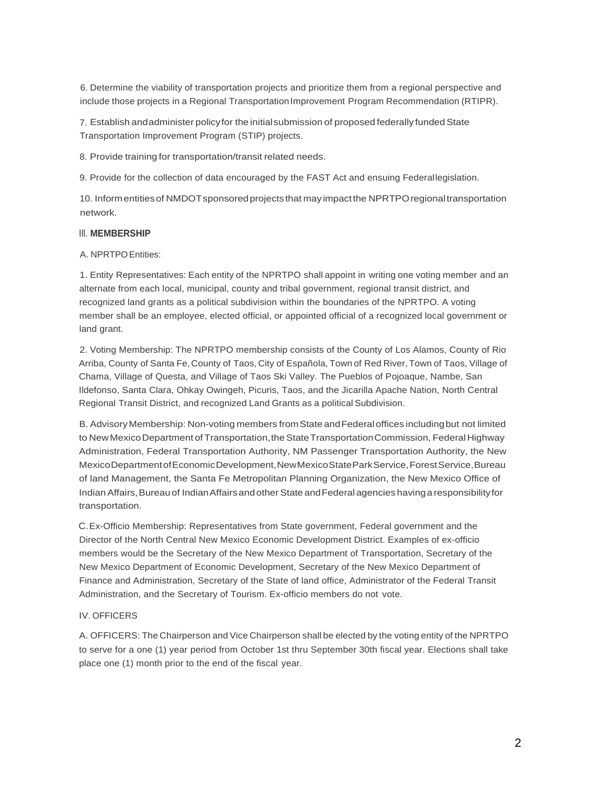6. Determine the viability of transportation projects and prioritize them from a regional perspective and include those projects in a Regional Transportation Improvement Program Recommendation (RTIPR).

7. Establish andadminister policy for the initial submission of proposed federally funded State Transportation Improvement Program (STIP) projects.

8. Provide training for transportation/transit related needs.

9. Provide for the collection of data encouraged by the FAST Act and ensuing Federallegislation.

10. Informentitiesof NMDOTsponsoredprojectsthat mayimpactthe NPRTPOregionaltransportation network.

# Ill. **MEMBERSHIP**

# A. NPRTPOEntities:

1. Entity Representatives: Each entity of the NPRTPO shall appoint in writing one voting member and an alternate from each local, municipal, county and tribal government, regional transit district, and recognized land grants as a political subdivision within the boundaries of the NPRTPO. A voting member shall be an employee, elected official, or appointed official of a recognized local government or land grant.

2. Voting Membership: The NPRTPO membership consists of the County of Los Alamos, County of Rio Arriba, County of Santa Fe, County of Taos, City of Española, Town of Red River,Town of Taos, Village of Chama, Village of Questa, and Village of Taos Ski Valley. The Pueblos of Pojoaque, Nambe, San Ildefonso, Santa Clara, Ohkay Owingeh, Picuris, Taos, and the Jicarilla Apache Nation, North Central Regional Transit District, and recognized Land Grants as a political Subdivision.

B. Advisory Membership: Non-voting members from State and Federal offices including but not limited to New Mexico Department of Transportation, the State Transportation Commission, Federal Highway Administration, Federal Transportation Authority, NM Passenger Transportation Authority, the New MexicoDepartment of EconomicDevelopment, New Mexico State Park Service, Forest Service, Bureau of land Management, the Santa Fe Metropolitan Planning Organization, the New Mexico Office of IndianAffairs,Bureau of IndianAffairsandotherState andFederal agencies havinga responsibilityfor transportation.

C.Ex-Officio Membership: Representatives from State government, Federal government and the Director of the North Central New Mexico Economic Development District. Examples of ex-officio members would be the Secretary of the New Mexico Department of Transportation, Secretary of the New Mexico Department of Economic Development, Secretary of the New Mexico Department of Finance and Administration, Secretary of the State of land office, Administrator of the Federal Transit Administration, and the Secretary of Tourism. Ex-officio members do not vote.

# IV. OFFICERS

A. OFFICERS: The Chairperson and Vice Chairperson shall be elected by the voting entity of the NPRTPO to serve for a one (1) year period from October 1st thru September 30th fiscal year. Elections shall take place one (1) month prior to the end of the fiscal year.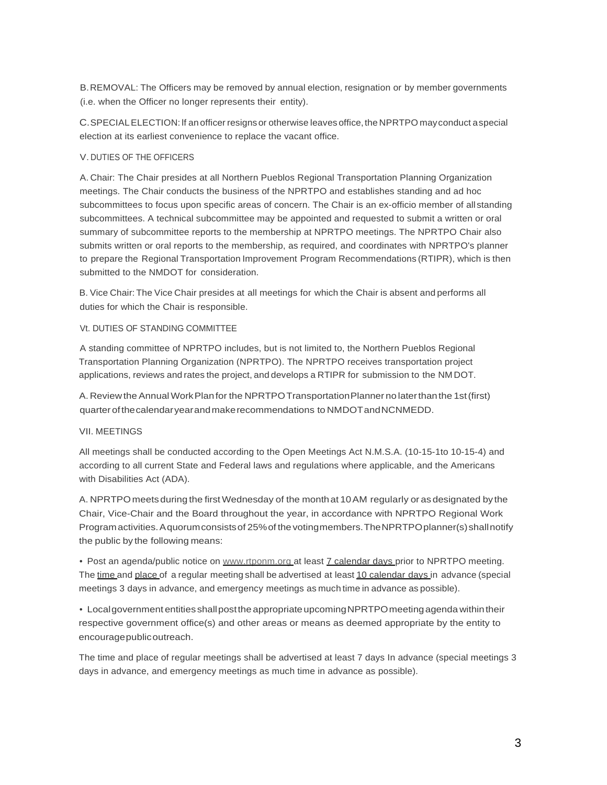B.REMOVAL: The Officers may be removed by annual election, resignation or by member governments (i.e. when the Officer no longer represents their entity).

C.SPECIALELECTION: lf an officer resignsor otherwise leaves office,the NPRTPO mayconduct aspecial election at its earliest convenience to replace the vacant office.

# V. DUTIES OF THE OFFICERS

A. Chair: The Chair presides at all Northern Pueblos Regional Transportation Planning Organization meetings. The Chair conducts the business of the NPRTPO and establishes standing and ad hoc subcommittees to focus upon specific areas of concern. The Chair is an ex-officio member of all standing subcommittees. A technical subcommittee may be appointed and requested to submit a written or oral summary of subcommittee reports to the membership at NPRTPO meetings. The NPRTPO Chair also submits written or oral reports to the membership, as required, and coordinates with NPRTPO's planner to prepare the Regional Transportation Improvement Program Recommendations (RTIPR), which is then submitted to the NMDOT for consideration.

B. Vice Chair: The Vice Chair presides at all meetings for which the Chair is absent and performs all duties for which the Chair is responsible.

# Vt. DUTIES OF STANDING COMMITTEE

A standing committee of NPRTPO includes, but is not limited to, the Northern Pueblos Regional Transportation Planning Organization (NPRTPO). The NPRTPO receives transportation project applications, reviews and rates the project, and develops a RTIPR for submission to the NM DOT.

A. Review the Annual WorkPlanfor the NPRTPOTransportationPlanner no laterthanthe 1st(first) quarterofthecalendaryearandmakerecommendations to NMDOTandNCNMEDD.

### VII. MEETINGS

All meetings shall be conducted according to the Open Meetings Act N.M.S.A. (10-15-1to 10-15-4) and according to all current State and Federal laws and regulations where applicable, and the Americans with Disabilities Act (ADA).

A. NPRTPOmeetsduring the first Wednesday of the monthat 10AM regularly or as designated bythe Chair, Vice-Chair and the Board throughout the year, in accordance with NPRTPO Regional Work Program activities. A quorum consists of 25% of the voting members. The NPRTPO planner(s) shall notify the public by the following means:

• Post an agenda/public notice on [www.rtponm.org a](http://www.rtponm.org/)t least 7 calendar days prior to NPRTPO meeting. The time and place of a regular meeting shall be advertised at least 10 calendar days in advance (special meetings 3 days in advance, and emergency meetings as much time in advance as possible).

• Local government entities shall post the appropriate upcoming NPRTPO meeting agenda within their respective government office(s) and other areas or means as deemed appropriate by the entity to encouragepublicoutreach.

The time and place of regular meetings shall be advertised at least 7 days In advance (special meetings 3 days in advance, and emergency meetings as much time in advance as possible).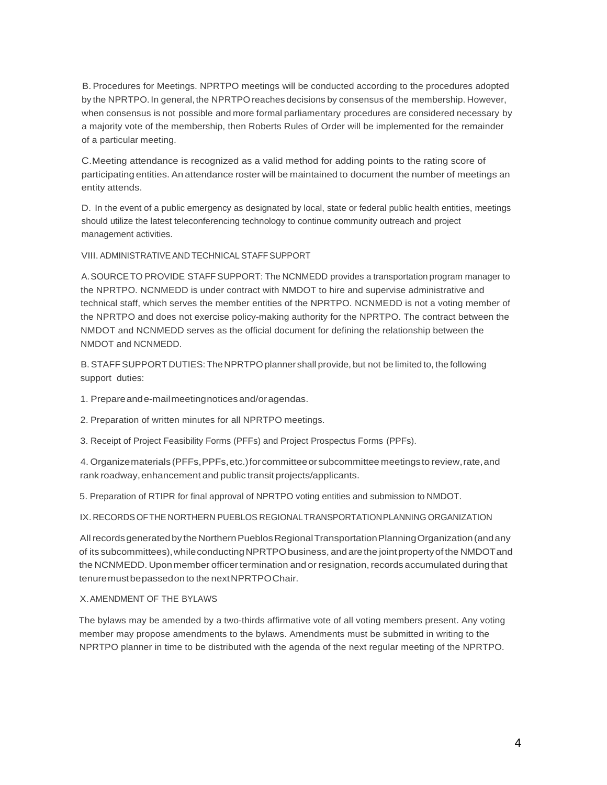B. Procedures for Meetings. NPRTPO meetings will be conducted according to the procedures adopted by the NPRTPO. In general, the NPRTPO reaches decisions by consensus of the membership. However, when consensus is not possible and more formal parliamentary procedures are considered necessary by a majority vote of the membership, then Roberts Rules of Order will be implemented for the remainder of a particular meeting.

C.Meeting attendance is recognized as a valid method for adding points to the rating score of participating entities. An attendance roster will be maintained to document the number of meetings an entity attends.

D. In the event of a public emergency as designated by local, state or federal public health entities, meetings should utilize the latest teleconferencing technology to continue community outreach and project management activities.

VIII. ADMINISTRATIVEAND TECHNICAL STAFF SUPPORT

A.SOURCETO PROVIDE STAFF SUPPORT: The NCNMEDD provides a transportation program manager to the NPRTPO. NCNMEDD is under contract with NMDOT to hire and supervise administrative and technical staff, which serves the member entities of the NPRTPO. NCNMEDD is not a voting member of the NPRTPO and does not exercise policy-making authority for the NPRTPO. The contract between the NMDOT and NCNMEDD serves as the official document for defining the relationship between the NMDOT and NCNMEDD.

B.STAFFSUPPORT DUTIES:TheNPRTPO planner shall provide, but not be limited to, the following support duties:

1. Prepareande-mailmeetingnoticesand/oragendas.

2. Preparation of written minutes for all NPRTPO meetings.

3. Receipt of Project Feasibility Forms (PFFs) and Project Prospectus Forms (PPFs).

4. Organizematerials (PFFs,PPFs,etc.)forcommitteeorsubcommittee meetingsto review,rate,and rank roadway,enhancement and public transit projects/applicants.

5. Preparation of RTIPR for final approval of NPRTPO voting entities and submission to NMDOT.

IX. RECORDS OFTHE NORTHERN PUEBLOS REGIONALTRANSPORTATIONPLANNING ORGANIZATION

All records generated by the Northern Pueblos Regional Transportation Planning Organization (and any of its subcommittees), while conducting NPRTPO business, and are the joint property of the NMDOT and the NCNMEDD. Upon member officer termination and or resignation, records accumulated during that tenuremustbepassedonto the nextNPRTPOChair.

### X.AMENDMENT OF THE BYLAWS

The bylaws may be amended by a two-thirds affirmative vote of all voting members present. Any voting member may propose amendments to the bylaws. Amendments must be submitted in writing to the NPRTPO planner in time to be distributed with the agenda of the next regular meeting of the NPRTPO.